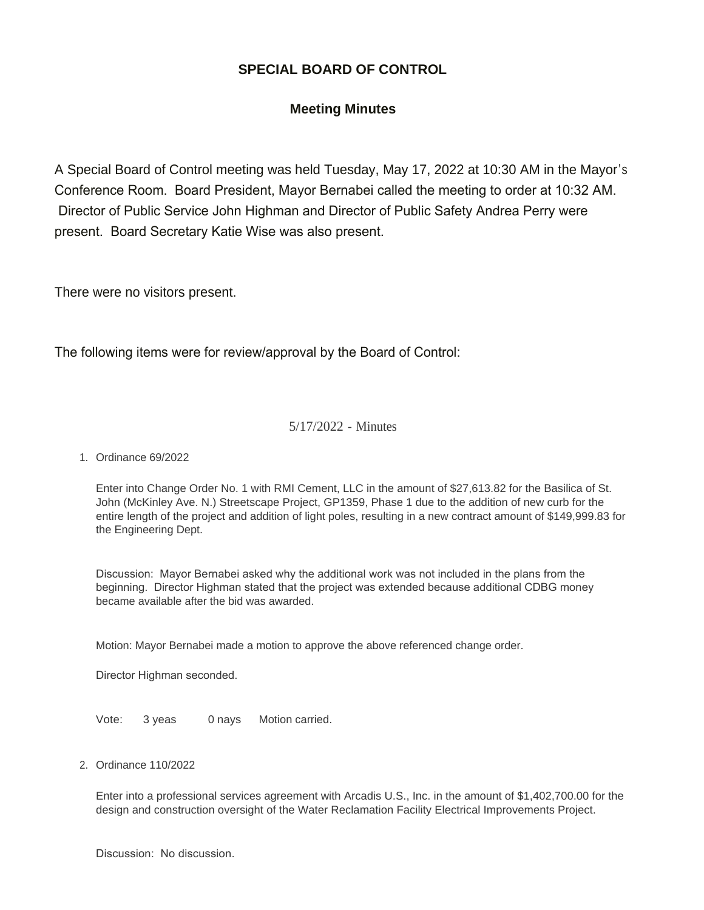## **SPECIAL BOARD OF CONTROL**

## **Meeting Minutes**

A Special Board of Control meeting was held Tuesday, May 17, 2022 at 10:30 AM in the Mayor's Conference Room. Board President, Mayor Bernabei called the meeting to order at 10:32 AM. Director of Public Service John Highman and Director of Public Safety Andrea Perry were present. Board Secretary Katie Wise was also present.

There were no visitors present.

The following items were for review/approval by the Board of Control:

## 5/17/2022 - Minutes

## Ordinance 69/2022 1.

Enter into Change Order No. 1 with RMI Cement, LLC in the amount of \$27,613.82 for the Basilica of St. John (McKinley Ave. N.) Streetscape Project, GP1359, Phase 1 due to the addition of new curb for the entire length of the project and addition of light poles, resulting in a new contract amount of \$149,999.83 for the Engineering Dept.

Discussion: Mayor Bernabei asked why the additional work was not included in the plans from the beginning. Director Highman stated that the project was extended because additional CDBG money became available after the bid was awarded.

Motion: Mayor Bernabei made a motion to approve the above referenced change order.

Director Highman seconded.

Vote: 3 yeas 0 nays Motion carried.

Ordinance 110/2022 2.

Enter into a professional services agreement with Arcadis U.S., Inc. in the amount of \$1,402,700.00 for the design and construction oversight of the Water Reclamation Facility Electrical Improvements Project.

Discussion: No discussion.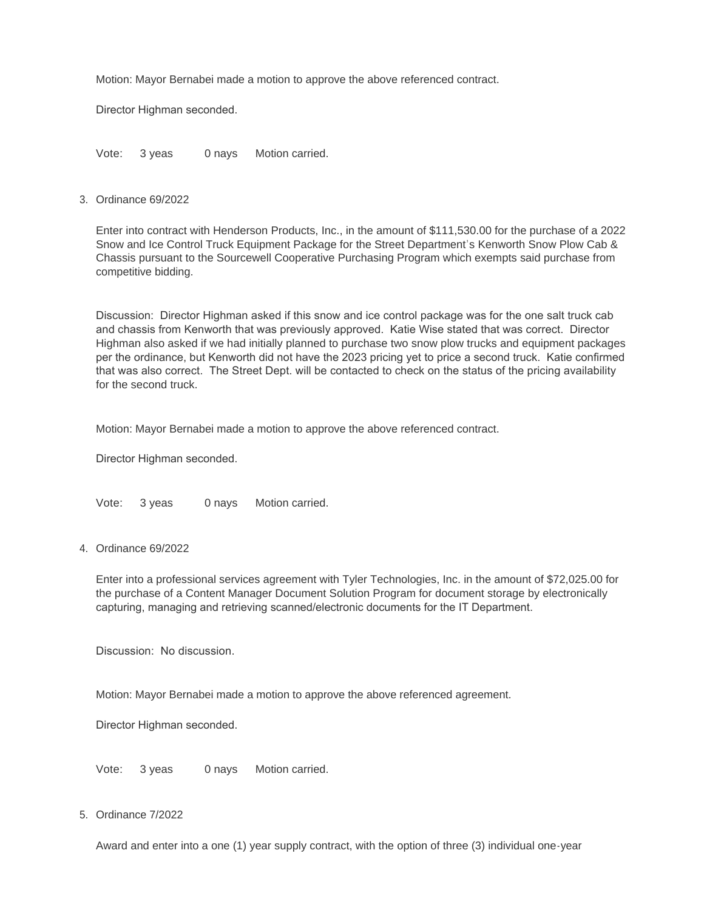Motion: Mayor Bernabei made a motion to approve the above referenced contract.

Director Highman seconded.

Vote: 3 yeas 0 nays Motion carried.

Ordinance 69/2022 3.

Enter into contract with Henderson Products, Inc., in the amount of \$111,530.00 for the purchase of a 2022 Snow and Ice Control Truck Equipment Package for the Street Department's Kenworth Snow Plow Cab & Chassis pursuant to the Sourcewell Cooperative Purchasing Program which exempts said purchase from competitive bidding.

Discussion: Director Highman asked if this snow and ice control package was for the one salt truck cab and chassis from Kenworth that was previously approved. Katie Wise stated that was correct. Director Highman also asked if we had initially planned to purchase two snow plow trucks and equipment packages per the ordinance, but Kenworth did not have the 2023 pricing yet to price a second truck. Katie confirmed that was also correct. The Street Dept. will be contacted to check on the status of the pricing availability for the second truck.

Motion: Mayor Bernabei made a motion to approve the above referenced contract.

Director Highman seconded.

Vote: 3 yeas 0 nays Motion carried.

Ordinance 69/2022 4.

Enter into a professional services agreement with Tyler Technologies, Inc. in the amount of \$72,025.00 for the purchase of a Content Manager Document Solution Program for document storage by electronically capturing, managing and retrieving scanned/electronic documents for the IT Department.

Discussion: No discussion.

Motion: Mayor Bernabei made a motion to approve the above referenced agreement.

Director Highman seconded.

Vote: 3 yeas 0 nays Motion carried.

5. Ordinance 7/2022

Award and enter into a one (1) year supply contract, with the option of three (3) individual one-year